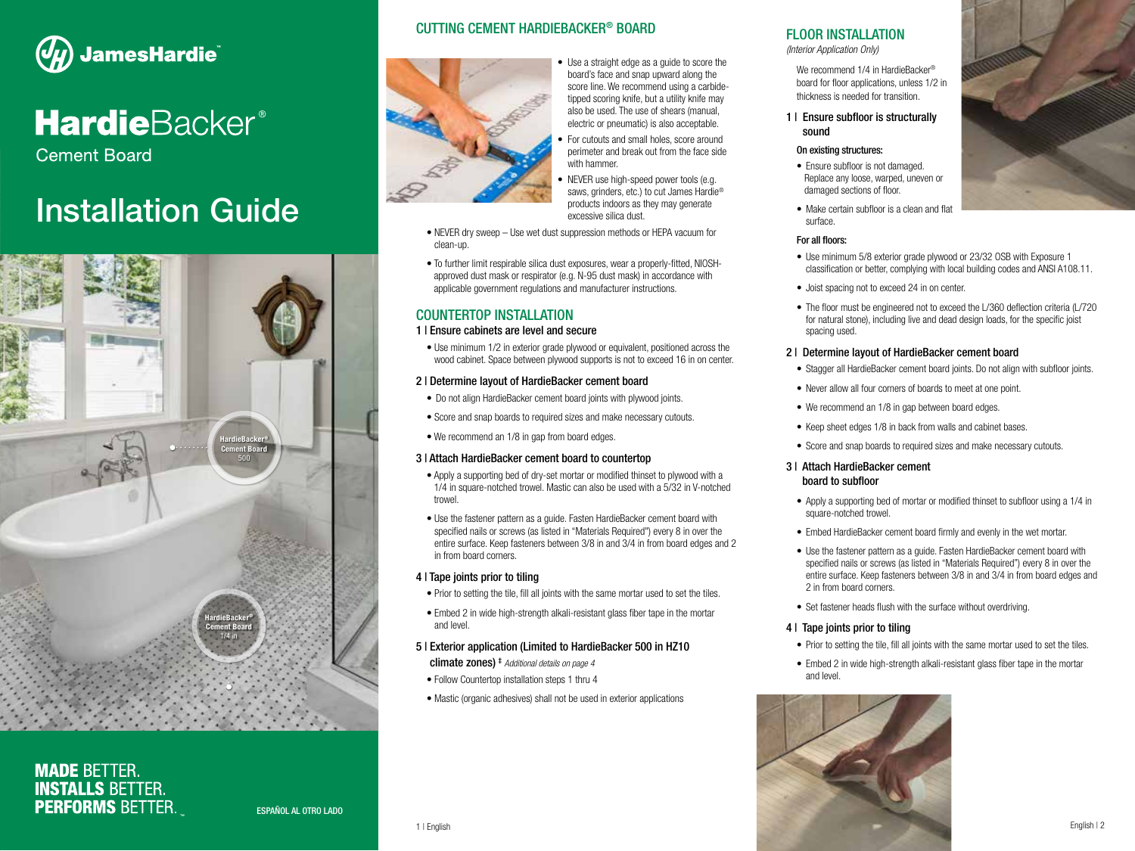

# **Hardie**Backer®

**Cement Board** 

# Installation Guide



**MADE BETTER. INSTALLS BETTER. PERFORMS BETTER.** 

### CUTTING CEMENT HARDIEBACKER® BOARD



• Use a straight edge as a guide to score the board's face and snap upward along the score line. We recommend using a carbidetipped scoring knife, but a utility knife may also be used. The use of shears (manual, electric or pneumatic) is also acceptable.

• For cutouts and small holes, score around perimeter and break out from the face side with hammer.

• NEVER use high-speed power tools (e.g. saws, grinders, etc.) to cut James Hardie® products indoors as they may generate excessive silica dust.

- NEVER dry sweep Use wet dust suppression methods or HEPA vacuum for clean-up.
- To further limit respirable silica dust exposures, wear a properly-fitted, NIOSHapproved dust mask or respirator (e.g. N-95 dust mask) in accordance with applicable government regulations and manufacturer instructions.

# COUNTERTOP INSTALLATION

#### 1 | Ensure cabinets are level and secure

• Use minimum 1/2 in exterior grade plywood or equivalent, positioned across the wood cabinet. Space between plywood supports is not to exceed 16 in on center.

#### 2 | Determine layout of HardieBacker cement board

- Do not align HardieBacker cement board joints with plywood joints.
- Score and snap boards to required sizes and make necessary cutouts.
- We recommend an 1/8 in gap from board edges.

### 3 | Attach HardieBacker cement board to countertop

- Apply a supporting bed of dry-set mortar or modified thinset to plywood with a 1/4 in square-notched trowel. Mastic can also be used with a 5/32 in V-notched trowel.
- Use the fastener pattern as a guide. Fasten HardieBacker cement board with specified nails or screws (as listed in "Materials Required") every 8 in over the entire surface. Keep fasteners between 3/8 in and 3/4 in from board edges and 2 in from board corners.

### 4 | Tape joints prior to tiling

- Prior to setting the tile, fill all joints with the same mortar used to set the tiles.
- Embed 2 in wide high-strength alkali-resistant glass fiber tape in the mortar and level.

### 5 | Exterior application (Limited to HardieBacker 500 in HZ10

climate zones) ‡ *Additional details on page 4*

- Follow Countertop installation steps 1 thru 4
- Mastic (organic adhesives) shall not be used in exterior applications

# FLOOR INSTALLATION

*(Interior Application Only)*

We recommend 1/4 in HardieBacker® board for floor applications, unless 1/2 in thickness is needed for transition.

#### 1 | Ensure subfloor is structurally sound

#### On existing structures:

- Ensure subfloor is not damaged. Replace any loose, warped, uneven or damaged sections of floor.
- Make certain subfloor is a clean and flat surface.

#### For all floors:

- Use minimum 5/8 exterior grade plywood or 23/32 OSB with Exposure 1 classification or better, complying with local building codes and ANSI A108.11.
- Joist spacing not to exceed 24 in on center.
- The floor must be engineered not to exceed the L/360 deflection criteria (L/720) for natural stone), including live and dead design loads, for the specific joist spacing used.

#### 2 | Determine layout of HardieBacker cement board

- Stagger all HardieBacker cement board joints. Do not align with subfloor joints.
- Never allow all four corners of boards to meet at one point.
- We recommend an 1/8 in gap between board edges.
- Keep sheet edges 1/8 in back from walls and cabinet bases.
- Score and snap boards to required sizes and make necessary cutouts.

### 3 | Attach HardieBacker cement board to subfloor

- Apply a supporting bed of mortar or modified thinset to subfloor using a 1/4 in square-notched trowel.
- Embed HardieBacker cement board firmly and evenly in the wet mortar.
- Use the fastener pattern as a guide. Fasten HardieBacker cement board with specified nails or screws (as listed in "Materials Required") every 8 in over the entire surface. Keep fasteners between 3/8 in and 3/4 in from board edges and 2 in from board corners.
- Set fastener heads flush with the surface without overdriving.

### 4 | Tape joints prior to tiling

- Prior to setting the tile, fill all joints with the same mortar used to set the tiles.
- Embed 2 in wide high-strength alkali-resistant glass fiber tape in the mortar and level.





1 | English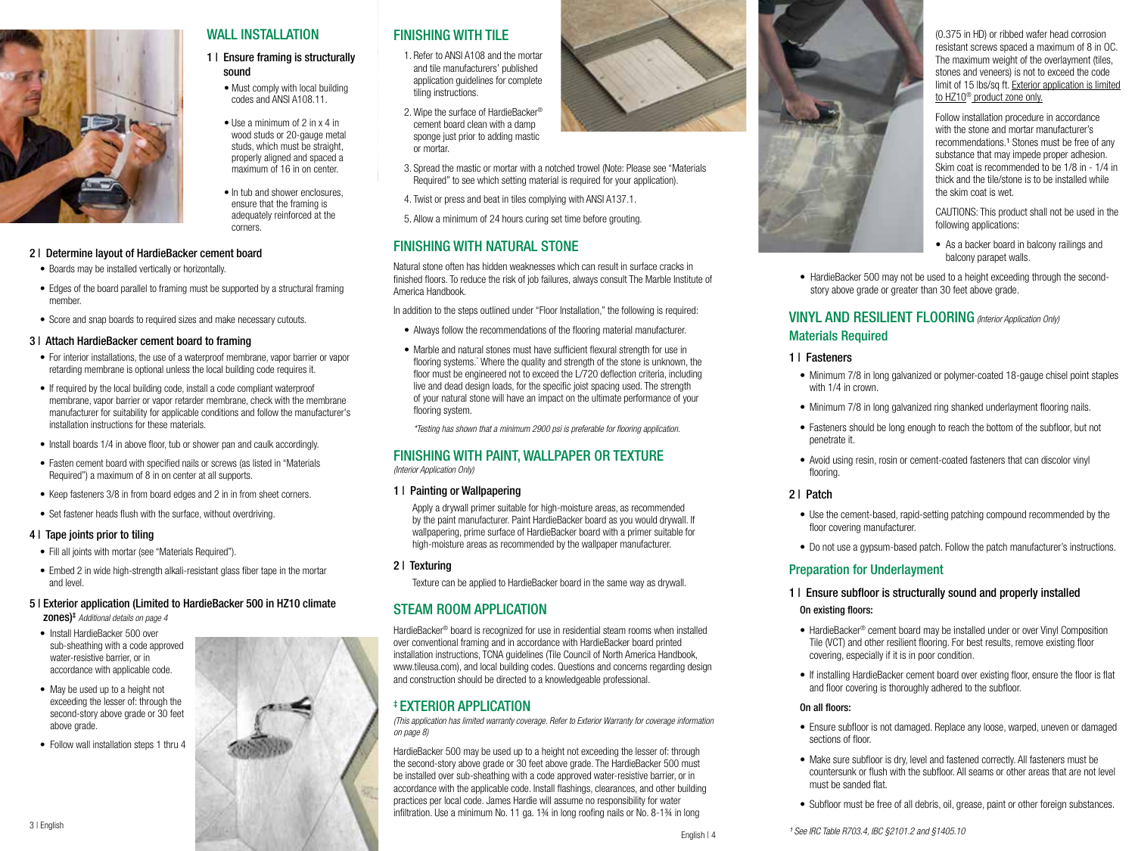

# WALL INSTALLATION

### 1 | Ensure framing is structurally sound

- Must comply with local building codes and ANSI A108.11.
- wood studs or 20-gauge metal studs, which must be straight, properly aligned and spaced a maximum of 16 in on center.
- In tub and shower enclosures, ensure that the framing is adequately reinforced at the corners.

#### 2 | Determine layout of HardieBacker cement board

- Boards may be installed vertically or horizontally.
- Edges of the board parallel to framing must be supported by a structural framing member.
- Score and snap boards to required sizes and make necessary cutouts.

#### 3 | Attach HardieBacker cement board to framing

- For interior installations, the use of a waterproof membrane, vapor barrier or vapor retarding membrane is optional unless the local building code requires it.
- If required by the local building code, install a code compliant waterproof membrane, vapor barrier or vapor retarder membrane, check with the membrane manufacturer for suitability for applicable conditions and follow the manufacturer's installation instructions for these materials.
- Install boards 1/4 in above floor, tub or shower pan and caulk accordingly.
- Fasten cement board with specified nails or screws (as listed in "Materials Required") a maximum of 8 in on center at all supports.
- Keep fasteners 3/8 in from board edges and 2 in in from sheet corners.
- Set fastener heads flush with the surface, without overdriving.

#### 4 | Tape joints prior to tiling

- Fill all joints with mortar (see "Materials Required").
- Embed 2 in wide high-strength alkali-resistant glass fiber tape in the mortar and level.

#### 5 | Exterior application (Limited to HardieBacker 500 in HZ10 climate zones)‡ *Additional details on page 4*

- Install HardieBacker 500 over sub-sheathing with a code approved water-resistive barrier, or in accordance with applicable code.
- May be used up to a height not exceeding the lesser of: through the second-story above grade or 30 feet above grade.
- Follow wall installation steps 1 thru 4

# FINISHING WITH TILE

- 1. Refer to ANSI A108 and the mortar and tile manufacturers' published application guidelines for complete tiling instructions.
- 2. Wipe the surface of HardieBacker® cement board clean with a damp sponge just prior to adding mastic or mortar.
- 3. Spread the mastic or mortar with a notched trowel (Note: Please see "Materials Required" to see which setting material is required for your application).
- 4. Twist or press and beat in tiles complying with ANSI A137.1.
- 5. Allow a minimum of 24 hours curing set time before grouting.

# FINISHING WITH NATURAL STONE

Natural stone often has hidden weaknesses which can result in surface cracks in finished floors. To reduce the risk of job failures, always consult The Marble Institute of America Handbook.

In addition to the steps outlined under "Floor Installation," the following is required:

- Always follow the recommendations of the flooring material manufacturer.
- Marble and natural stones must have sufficient flexural strength for use in flooring systems.\* Where the quality and strength of the stone is unknown, the floor must be engineered not to exceed the L/720 deflection criteria, including live and dead design loads, for the specific joist spacing used. The strength of your natural stone will have an impact on the ultimate performance of your flooring system.

*\*Testing has shown that a minimum 2900 psi is preferable for flooring application.*

# FINISHING WITH PAINT, WALLPAPER OR TEXTURE

*(Interior Application Only)*

#### 1 | Painting or Wallpapering

 Apply a drywall primer suitable for high-moisture areas, as recommended by the paint manufacturer. Paint HardieBacker board as you would drywall. If wallpapering, prime surface of HardieBacker board with a primer suitable for high-moisture areas as recommended by the wallpaper manufacturer.

2 | Texturing

Texture can be applied to HardieBacker board in the same way as drywall.

# STEAM ROOM APPLICATION

HardieBacker® board is recognized for use in residential steam rooms when installed over conventional framing and in accordance with HardieBacker board printed installation instructions, TCNA guidelines (Tile Council of North America Handbook, www.tileusa.com), and local building codes. Questions and concerns regarding design and construction should be directed to a knowledgeable professional.

### ‡ EXTERIOR APPLICATION

*(This application has limited warranty coverage. Refer to Exterior Warranty for coverage information on page 8)*

HardieBacker 500 may be used up to a height not exceeding the lesser of: through the second-story above grade or 30 feet above grade. The HardieBacker 500 must be installed over sub-sheathing with a code approved water-resistive barrier, or in accordance with the applicable code. Install flashings, clearances, and other building practices per local code. James Hardie will assume no responsibility for water infiltration. Use a minimum No. 11 ga. 1¾ in long roofing nails or No. 8-1¾ in long



(0.375 in HD) or ribbed wafer head corrosion resistant screws spaced a maximum of 8 in OC. The maximum weight of the overlayment (tiles, stones and veneers) is not to exceed the code limit of 15 lbs/sq ft. Exterior application is limited to HZ10® product zone only.

Follow installation procedure in accordance with the stone and mortar manufacturer's recommendations.<sup>1</sup> Stones must be free of any substance that may impede proper adhesion. Skim coat is recommended to be 1/8 in - 1/4 in thick and the tile/stone is to be installed while the skim coat is wet.

CAUTIONS: This product shall not be used in the following applications:

- As a backer board in balcony railings and balcony parapet walls.
- HardieBacker 500 may not be used to a height exceeding through the secondstory above grade or greater than 30 feet above grade.

# VINYL AND RESILIENT FLOORING *(Interior Application Only)* Materials Required

#### 1 | Fasteners

- Minimum 7/8 in long galvanized or polymer-coated 18-gauge chisel point staples with 1/4 in crown.
- Minimum 7/8 in long galvanized ring shanked underlayment flooring nails.
- Fasteners should be long enough to reach the bottom of the subfloor, but not penetrate it.
- Avoid using resin, rosin or cement-coated fasteners that can discolor vinyl flooring.

#### 2 | Patch

- Use the cement-based, rapid-setting patching compound recommended by the floor covering manufacturer.
- Do not use a gypsum-based patch. Follow the patch manufacturer's instructions.

#### Preparation for Underlayment

#### 1 | Ensure subfloor is structurally sound and properly installed

#### On existing floors:

- HardieBacker® cement board may be installed under or over Vinyl Composition Tile (VCT) and other resilient flooring. For best results, remove existing floor covering, especially if it is in poor condition.
- If installing HardieBacker cement board over existing floor, ensure the floor is flat and floor covering is thoroughly adhered to the subfloor.

#### On all floors:

English | 4

- Ensure subfloor is not damaged. Replace any loose, warped, uneven or damaged sections of floor.
- Make sure subfloor is dry, level and fastened correctly. All fasteners must be countersunk or flush with the subfloor. All seams or other areas that are not level must be sanded flat.
- Subfloor must be free of all debris, oil, grease, paint or other foreign substances.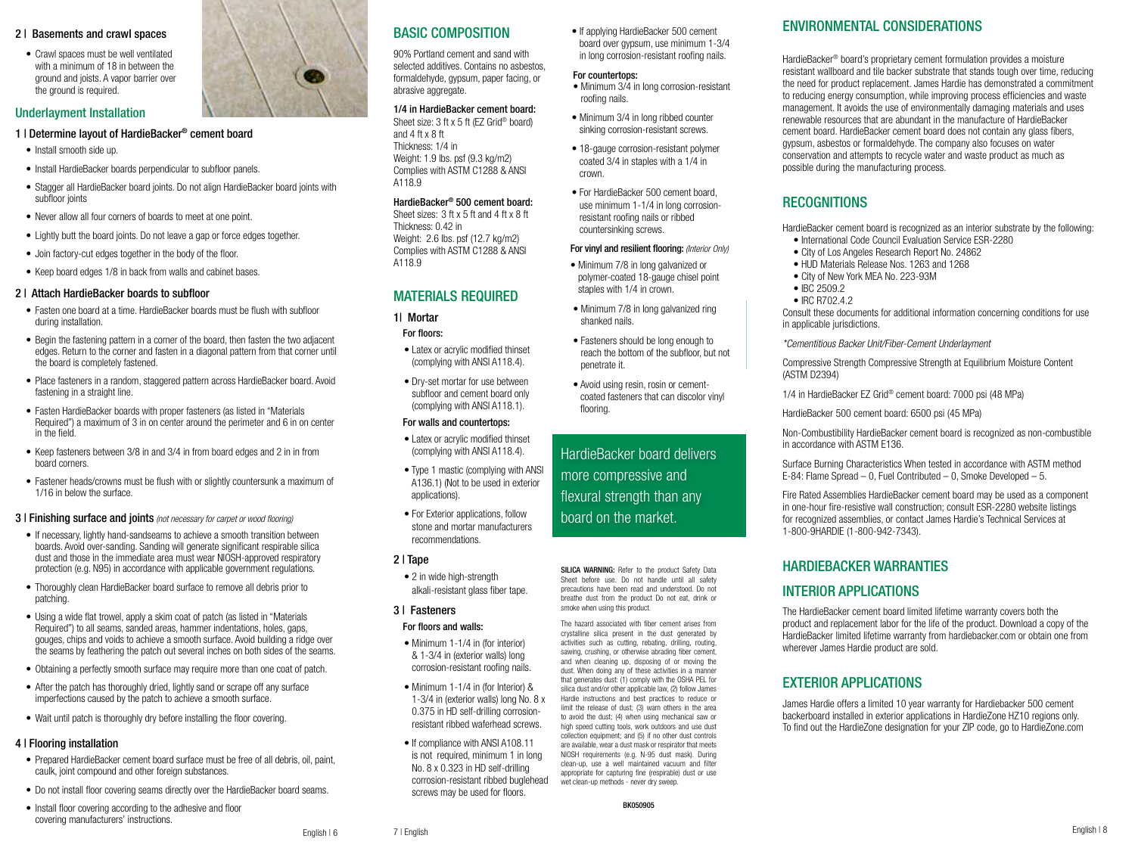#### 2 | Basements and crawl spaces

• Crawl spaces must be well ventilated with a minimum of 18 in between the ground and joists. A vapor barrier over the ground is required.

#### Underlayment Installation

#### 1 | Determine layout of HardieBacker® cement board

- Install smooth side up.
- Install HardieBacker boards perpendicular to subfloor panels.
- Stagger all HardieBacker board joints. Do not align HardieBacker board joints with subfloor joints
- Never allow all four corners of boards to meet at one point.
- Lightly butt the board joints. Do not leave a gap or force edges together.
- Join factory-cut edges together in the body of the floor.
- Keep board edges 1/8 in back from walls and cabinet bases

#### 2 | Attach HardieBacker boards to subfloor

- Fasten one board at a time. HardieBacker boards must be flush with subfloor during installation.
- Begin the fastening pattern in a corner of the board, then fasten the two adiacent edges. Return to the corner and fasten in a diagonal pattern from that corner until the board is completely fastened.
- Place fasteners in a random, staggered pattern across HardieBacker board, Avoid fastening in a straight line.
- Fasten HardieBacker boards with proper fasteners (as listed in "Materials Required") a maximum of 3 in on center around the perimeter and 6 in on center in the field.
- Keep fasteners between 3/8 in and 3/4 in from board edges and 2 in in from board corners.
- Fastener heads/crowns must be flush with or slightly countersunk a maximum of 1/16 in below the surface.
- 3 | Finishing surface and joints *(not necessary for carpet or wood flooring)*
- If necessary, lightly hand-sandseams to achieve a smooth transition between boards. Avoid over-sanding. Sanding will generate significant respirable silica dust and those in the immediate area must wear NIOSH-approved respiratory protection (e.g. N95) in accordance with applicable government regulations.
- Thoroughly clean HardieBacker board surface to remove all debris prior to patching.
- Using a wide flat trowel, apply a skim coat of patch (as listed in "Materials Required") to all seams, sanded areas, hammer indentations, holes, gaps, gouges, chips and voids to achieve a smooth surface. Avoid building a ridge over the seams by feathering the patch out several inches on both sides of the seams.
- Obtaining a perfectly smooth surface may require more than one coat of patch.
- After the patch has thoroughly dried, lightly sand or scrape off any surface imperfections caused by the patch to achieve a smooth surface.
- Wait until patch is thoroughly dry before installing the floor covering.

#### 4 | Flooring installation

- Prepared HardieBacker cement board surface must be free of all debris, oil, paint, caulk, joint compound and other foreign substances.
- Do not install floor covering seams directly over the HardieBacker board seams.
- Install floor covering according to the adhesive and floor covering manufacturers' instructions.



# BASIC COMPOSITION

90% Portland cement and sand with selected additives. Contains no asbestos, formaldehyde, gypsum, paper facing, or abrasive aggregate.

#### 1/4 in HardieBacker cement board:

Sheet size: 3 ft x 5 ft (EZ Grid® board) and  $4$  ft x  $8$  ft Thickness: 1/4 in Weight: 1.9 lbs. psf (9.3 kg/m2) Complies with ASTM C1288 & ANSI A118.9

#### HardieBacker® 500 cement board:

Sheet sizes: 3 ft x 5 ft and 4 ft x 8 ft Thickness: 0.42 in Weight: 2.6 lbs. psf (12.7 kg/m2) Complies with ASTM C1288 & ANSI A118.9

#### MATERIALS REQUIRED

### 1| Mortar

- For floors:
- Latex or acrylic modified thinset (complying with ANSI A118.4).
- Dry-set mortar for use between subfloor and cement board only (complying with ANSI A118.1).

#### For walls and countertops:

- Latex or acrylic modified thinset (complying with ANSI A118.4).
- Type 1 mastic (complying with ANSI A136.1) (Not to be used in exterior applications).
- For Exterior applications, follow stone and mortar manufacturers recommendations.

#### 2 | Tape

• 2 in wide high-strength alkali-resistant glass fiber tape.

#### 3 | Fasteners

#### For floors and walls:

- Minimum 1-1/4 in (for interior) & 1-3/4 in (exterior walls) long corrosion-resistant roofing nails.
- Minimum 1-1/4 in (for Interior) & 1-3/4 in (exterior walls) long No. 8 x 0.375 in HD self-drilling corrosionresistant ribbed waferhead screws.
- If compliance with ANSI A108.11 is not required, minimum 1 in long No. 8 x 0.323 in HD self-drilling corrosion-resistant ribbed buglehead screws may be used for floors.

• If applying HardieBacker 500 cement board over gypsum, use minimum 1-3/4 in long corrosion-resistant roofing nails.

#### For countertops:

- Minimum 3/4 in long corrosion-resistant roofing nails.
- Minimum 3/4 in long ribbed counter sinking corrosion-resistant screws.
- 18-gauge corrosion-resistant polymer coated 3/4 in staples with a 1/4 in crown.
- For HardieBacker 500 cement board, use minimum 1-1/4 in long corrosionresistant roofing nails or ribbed countersinking screws.

#### For vinyl and resilient flooring: *(Interior Only)*

- Minimum 7/8 in long galvanized or polymer-coated 18-gauge chisel point staples with 1/4 in crown.
- Minimum 7/8 in long galvanized ring shanked nails.
- Fasteners should be long enough to reach the bottom of the subfloor, but not

penetrate it.

• Avoid using resin, rosin or cementcoated fasteners that can discolor vinyl flooring.

HardieBacker board delivers more compressive and flexural strength than any board on the market.

SILICA WARNING: Refer to the product Safety Data Sheet before use. Do not handle until all safety precautions have been read and understood. Do not breathe dust from the product Do not eat, drink or smoke when using this product.

The hazard associated with fiber cement arises from crystalline silica present in the dust generated by activities such as cutting, rebating, drilling, routing, sawing, crushing, or otherwise abrading fiber cement, and when cleaning up, disposing of or moving the dust. When doing any of these activities in a manner that generates dust: (1) comply with the OSHA PEL for silica dust and/or other applicable law, (2) follow James Hardie instructions and best practices to reduce or limit the release of dust; (3) warn others in the area to avoid the dust; (4) when using mechanical saw or high speed cutting tools, work outdoors and use dust collection equipment; and (5) if no other dust controls are available, wear a dust mask or respirator that meets NIOSH requirements (e.g. N-95 dust mask). During clean-up, use a well maintained vacuum and filter appropriate for capturing fine (respirable) dust or use wet clean-up methods - never dry sweep.

# ENVIRONMENTAL CONSIDERATIONS

HardieBacker® board's proprietary cement formulation provides a moisture resistant wallboard and tile backer substrate that stands tough over time, reducing the need for product replacement. James Hardie has demonstrated a commitment to reducing energy consumption, while improving process efficiencies and waste management. It avoids the use of environmentally damaging materials and uses renewable resources that are abundant in the manufacture of HardieBacker cement board. HardieBacker cement board does not contain any glass fibers, gypsum, asbestos or formaldehyde. The company also focuses on water conservation and attempts to recycle water and waste product as much as possible during the manufacturing process.

# **RECOGNITIONS**

HardieBacker cement board is recognized as an interior substrate by the following: • International Code Council Evaluation Service ESR-2280

- City of Los Angeles Research Report No. 24862
- HUD Materials Release Nos. 1263 and 1268
- City of New York MEA No. 223-93M
- IBC 2509.2
- IRC R702.4.2

Consult these documents for additional information concerning conditions for use in applicable jurisdictions.

*\*Cementitious Backer Unit/Fiber-Cement Underlayment*

Compressive Strength Compressive Strength at Equilibrium Moisture Content (ASTM D2394)

1/4 in HardieBacker EZ Grid® cement board: 7000 psi (48 MPa)

HardieBacker 500 cement board: 6500 psi (45 MPa)

Non-Combustibility HardieBacker cement board is recognized as non-combustible in accordance with ASTM E136.

Surface Burning Characteristics When tested in accordance with ASTM method E-84: Flame Spread – 0, Fuel Contributed – 0, Smoke Developed – 5.

Fire Rated Assemblies HardieBacker cement board may be used as a component in one-hour fire-resistive wall construction; consult ESR-2280 website listings for recognized assemblies, or contact James Hardie's Technical Services at 1-800-9HARDIE (1-800-942-7343).

### HARDIEBACKER WARRANTIES

## INTERIOR APPLICATIONS

The HardieBacker cement board limited lifetime warranty covers both the product and replacement labor for the life of the product. Download a copy of the HardieBacker limited lifetime warranty from hardiebacker.com or obtain one from wherever James Hardie product are sold.

### EXTERIOR APPLICATIONS

James Hardie offers a limited 10 year warranty for Hardiebacker 500 cement backerboard installed in exterior applications in HardieZone HZ10 regions only. To find out the HardieZone designation for your ZIP code, go to HardieZone.com

English | 6 7 | English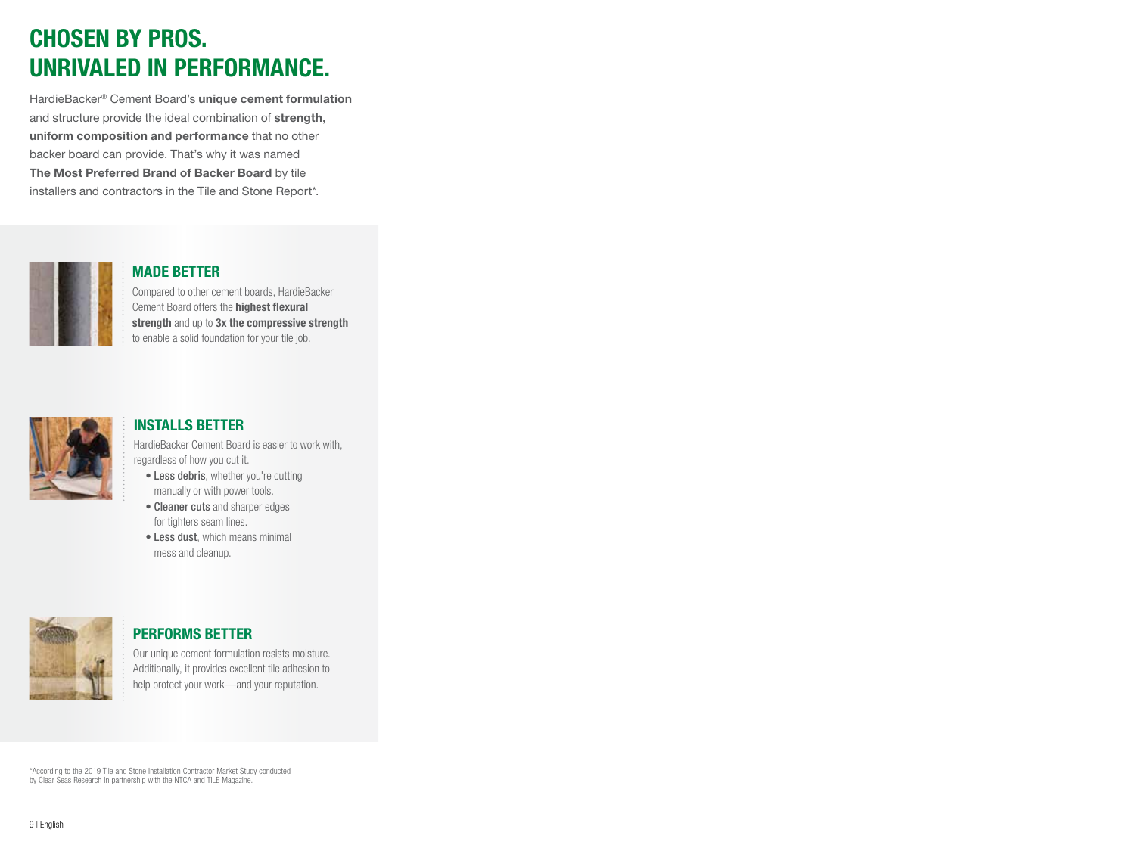# CHOSEN BY PROS. UNRIVALED IN PERFORMANCE.

HardieBacker® Cement Board's unique cement formulation and structure provide the ideal combination of strength, uniform composition and performance that no other backer board can provide. That's why it was named The Most Preferred Brand of Backer Board by tile installers and contractors in the Tile and Stone Report\*.



# MADE BETTER

Compared to other cement boards, HardieBacker Cement Board offers the highest flexural strength and up to 3x the compressive strength to enable a solid foundation for your tile job.



# INSTALLS BETTER

HardieBacker Cement Board is easier to work with, regardless of how you cut it.

- Less debris, whether you're cutting manually or with power tools.
- Cleaner cuts and sharper edges for tighters seam lines.
- Less dust, which means minimal mess and cleanup.



# PERFORMS BETTER

Our unique cement formulation resists moisture. Additionally, it provides excellent tile adhesion to help protect your work—and your reputation.

\*According to the 2019 Tile and Stone Installation Contractor Market Study conducted by Clear Seas Research in partnership with the NTCA and TILE Magazine.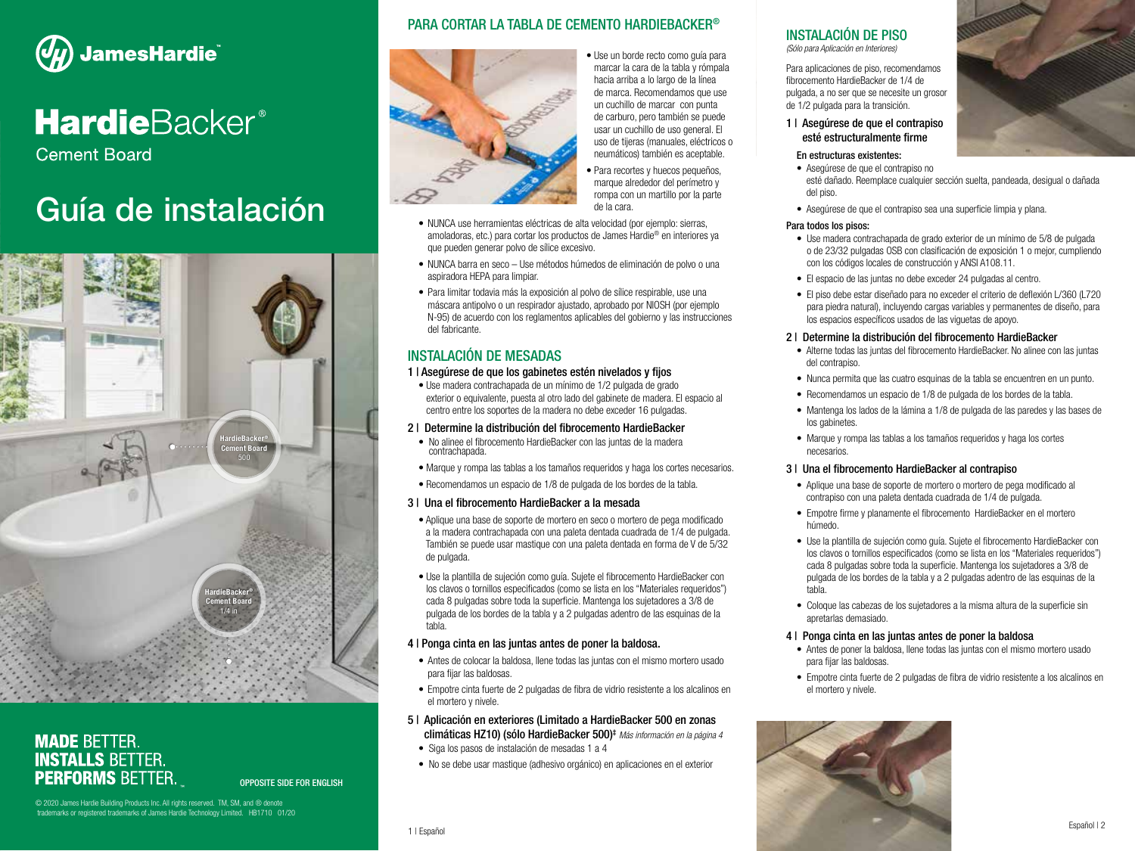

# **HardieBacker®**

**Cement Board** 

# Guía de instalación



# **MADE BETTER. INSTALLS BETTER. PERFORMS BETTER.**

# PARA CORTAR LA TABLA DE CEMENTO HARDIEBACKER®



• Use un borde recto como guía para marcar la cara de la tabla y rómpala hacia arriba a lo largo de la línea de marca. Recomendamos que use un cuchillo de marcar con punta de carburo, pero también se puede usar un cuchillo de uso general. El uso de tijeras (manuales, eléctricos o neumáticos) también es aceptable.

• Para recortes y huecos pequeños, marque alrededor del perímetro y rompa con un martillo por la parte de la cara.

- NUNCA use herramientas eléctricas de alta velocidad (por ejemplo: sierras, amoladoras, etc.) para cortar los productos de James Hardie® en interiores ya que pueden generar polvo de sílice excesivo.
- NUNCA barra en seco Use métodos húmedos de eliminación de polvo o una aspiradora HEPA para limpiar.
- Para limitar todavia más la exposición al polvo de sílice respirable, use una máscara antipolvo o un respirador ajustado, aprobado por NIOSH (por ejemplo N-95) de acuerdo con los reglamentos aplicables del gobierno y las instrucciones del fabricante.

# INSTALACIÓN DE MESADAS

#### 1 | Asegúrese de que los gabinetes estén nivelados y fijos

• Use madera contrachapada de un mínimo de 1/2 pulgada de grado exterior o equivalente, puesta al otro lado del gabinete de madera. El espacio al centro entre los soportes de la madera no debe exceder 16 pulgadas.

#### 2 | Determine la distribución del fibrocemento HardieBacker

- No alinee el fibrocemento HardieBacker con las juntas de la madera contrachapada.
- Marque y rompa las tablas a los tamaños requeridos y haga los cortes necesarios.
- Recomendamos un espacio de 1/8 de pulgada de los bordes de la tabla.

#### 3 | Una el fibrocemento HardieBacker a la mesada

- Aplique una base de soporte de mortero en seco o mortero de pega modificado a la madera contrachapada con una paleta dentada cuadrada de 1/4 de pulgada. También se puede usar mastique con una paleta dentada en forma de V de 5/32 de pulgada.
- Use la plantilla de sujeción como guía. Sujete el fibrocemento HardieBacker con los clavos o tornillos especificados (como se lista en los "Materiales requeridos") cada 8 pulgadas sobre toda la superficie. Mantenga los sujetadores a 3/8 de pulgada de los bordes de la tabla y a 2 pulgadas adentro de las esquinas de la tabla.

#### 4 | Ponga cinta en las juntas antes de poner la baldosa.

- Antes de colocar la baldosa, llene todas las juntas con el mismo mortero usado para fijar las baldosas.
- Empotre cinta fuerte de 2 pulgadas de fibra de vidrio resistente a los alcalinos en el mortero y nivele.

#### 5 | Aplicación en exteriores (Limitado a HardieBacker 500 en zonas climáticas HZ10) (sólo HardieBacker 500)‡ *Más información en la página 4*

- Siga los pasos de instalación de mesadas 1 a 4
- No se debe usar mastique (adhesivo orgánico) en aplicaciones en el exterior

#### INSTALACIÓN DE PISO *(Sólo para Aplicación en Interiores)*

Para aplicaciones de piso, recomendamos fibrocemento HardieBacker de 1/4 de pulgada, a no ser que se necesite un grosor de 1/2 pulgada para la transición.

#### 1 | Asegúrese de que el contrapiso esté estructuralmente firme

#### En estructuras existentes:

- Asegúrese de que el contrapiso no esté dañado. Reemplace cualquier sección suelta, pandeada, desigual o dañada del piso.
- Asegúrese de que el contrapiso sea una superficie limpia y plana.

#### Para todos los pisos:

- Use madera contrachapada de grado exterior de un mínimo de 5/8 de pulgada o de 23/32 pulgadas OSB con clasificación de exposición 1 o mejor, cumpliendo con los códigos locales de construcción y ANSI A108.11.
- El espacio de las juntas no debe exceder 24 pulgadas al centro.
- El piso debe estar diseñado para no exceder el criterio de deflexión L/360 (L720 para piedra natural), incluyendo cargas variables y permanentes de diseño, para los espacios específicos usados de las viguetas de apoyo.

#### 2 | Determine la distribución del fibrocemento HardieBacker

- Alterne todas las juntas del fibrocemento HardieBacker. No alinee con las juntas del contrapiso.
- Nunca permita que las cuatro esquinas de la tabla se encuentren en un punto.
- Recomendamos un espacio de 1/8 de pulgada de los bordes de la tabla.
- Mantenga los lados de la lámina a 1/8 de pulgada de las paredes y las bases de los gabinetes
- Marque y rompa las tablas a los tamaños requeridos y haga los cortes necesarios.

#### 3 | Una el fibrocemento HardieBacker al contrapiso

- Aplique una base de soporte de mortero o mortero de pega modificado al contrapiso con una paleta dentada cuadrada de 1/4 de pulgada.
- Empotre firme y planamente el fibrocemento HardieBacker en el mortero húmedo.
- Use la plantilla de sujeción como guía. Sujete el fibrocemento HardieBacker con los clavos o tornillos especificados (como se lista en los "Materiales requeridos") cada 8 pulgadas sobre toda la superficie. Mantenga los sujetadores a 3/8 de pulgada de los bordes de la tabla y a 2 pulgadas adentro de las esquinas de la tabla.
- Coloque las cabezas de los sujetadores a la misma altura de la superficie sin apretarlas demasiado.

#### 4 | Ponga cinta en las juntas antes de poner la baldosa

- Antes de poner la baldosa, llene todas las juntas con el mismo mortero usado para fijar las baldosas.
- Empotre cinta fuerte de 2 pulgadas de fibra de vidrio resistente a los alcalinos en el mortero y nivele.

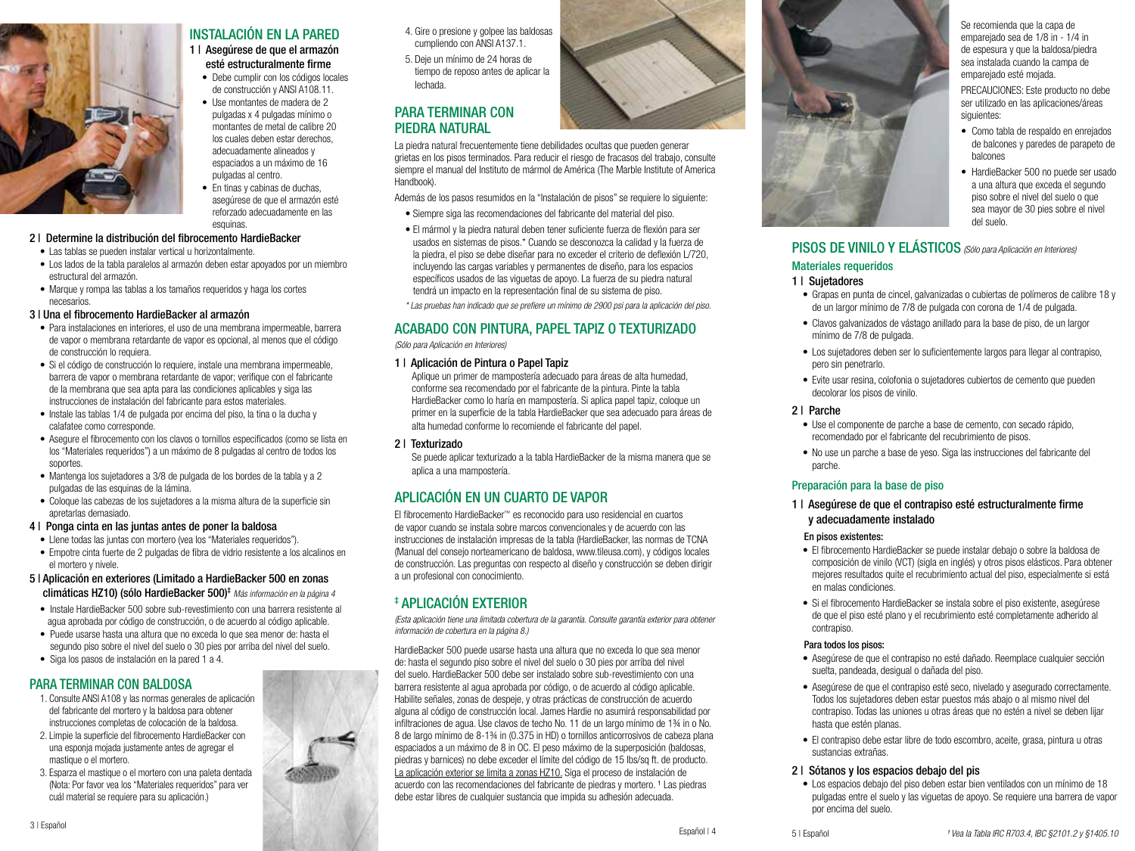

# INSTALACIÓN EN LA PARED

1 | Asegúrese de que el armazón esté estructuralmente firme

- Debe cumplir con los códigos locales de construcción y ANSI A108.11.
- Use montantes de madera de 2 pulgadas x 4 pulgadas mínimo o montantes de metal de calibre 20 los cuales deben estar derechos, adecuadamente alineados y espaciados a un máximo de 16 pulgadas al centro.
- En tinas y cabinas de duchas. asegúrese de que el armazón esté reforzado adecuadamente en las esquinas

#### 2 | Determine la distribución del fibrocemento HardieBacker

- Las tablas se pueden instalar vertical u horizontalmente.
- Los lados de la tabla paralelos al armazón deben estar apoyados por un miembro estructural del armazón.
- Marque y rompa las tablas a los tamaños requeridos y haga los cortes necesarios.

#### 3 | Una el fibrocemento HardieBacker al armazón

- Para instalaciones en interiores, el uso de una membrana impermeable, barrera de vapor o membrana retardante de vapor es opcional, al menos que el código de construcción lo requiera.
- Si el código de construcción lo requiere, instale una membrana impermeable, barrera de vapor o membrana retardante de vapor; verifique con el fabricante de la membrana que sea apta para las condiciones aplicables y siga las instrucciones de instalación del fabricante para estos materiales.
- Instale las tablas 1/4 de pulgada por encima del piso, la tina o la ducha y calafatee como corresponde.
- Asegure el fibrocemento con los clavos o tornillos especificados (como se lista en los "Materiales requeridos") a un máximo de 8 pulgadas al centro de todos los soportes.
- Mantenga los sujetadores a 3/8 de pulgada de los bordes de la tabla y a 2 pulgadas de las esquinas de la lámina.
- Coloque las cabezas de los sujetadores a la misma altura de la superficie sin apretarlas demasiado.

#### 4 | Ponga cinta en las juntas antes de poner la baldosa

- Llene todas las juntas con mortero (vea los "Materiales requeridos").
- Empotre cinta fuerte de 2 pulgadas de fibra de vidrio resistente a los alcalinos en el mortero y nivele.
- 5 | Aplicación en exteriores (Limitado a HardieBacker 500 en zonas climáticas HZ10) (sólo HardieBacker 500)‡ *Más información en la página 4*
- Instale HardieBacker 500 sobre sub-revestimiento con una barrera resistente al agua aprobada por código de construcción, o de acuerdo al código aplicable.
- Puede usarse hasta una altura que no exceda lo que sea menor de: hasta el segundo piso sobre el nivel del suelo o 30 pies por arriba del nivel del suelo.
- Siga los pasos de instalación en la pared 1 a 4.

# PARA TERMINAR CON BALDOSA

- 1. Consulte ANSI A108 y las normas generales de aplicación del fabricante del mortero y la baldosa para obtener instrucciones completas de colocación de la baldosa.
- 2. Limpie la superficie del fibrocemento HardieBacker con una esponja mojada justamente antes de agregar el mastique o el mortero.
- 3. Esparza el mastique o el mortero con una paleta dentada (Nota: Por favor vea los "Materiales requeridos" para ver cuál material se requiere para su aplicación.)
- 4. Gire o presione y golpee las baldosas cumpliendo con ANSI A137.1.
- 5. Deje un mínimo de 24 horas de tiempo de reposo antes de aplicar la lechada.

# PARA TERMINAR CON PIEDRA NATURAL

La piedra natural frecuentemente tiene debilidades ocultas que pueden generar grietas en los pisos terminados. Para reducir el riesgo de fracasos del trabajo, consulte siempre el manual del Instituto de mármol de América (The Marble Institute of America Handbook).

Además de los pasos resumidos en la "Instalación de pisos" se requiere lo siguiente:

- Siempre siga las recomendaciones del fabricante del material del piso.
- El mármol y la piedra natural deben tener suficiente fuerza de flexión para ser usados en sistemas de pisos.\* Cuando se desconozca la calidad y la fuerza de la piedra, el piso se debe diseñar para no exceder el criterio de deflexión L/720, incluyendo las cargas variables y permanentes de diseño, para los espacios específicos usados de las viguetas de apoyo. La fuerza de su piedra natural tendrá un impacto en la representación final de su sistema de piso.

*\* Las pruebas han indicado que se prefiere un mínimo de 2900 psi para la aplicación del piso.*

# ACABADO CON PINTURA, PAPEL TAPIZ O TEXTURIZADO

*(Sólo para Aplicación en Interiores)*

#### 1 | Aplicación de Pintura o Papel Tapiz

 Aplique un primer de mampostería adecuado para áreas de alta humedad, conforme sea recomendado por el fabricante de la pintura. Pinte la tabla HardieBacker como lo haría en mampostería. Si aplica papel tapiz, coloque un primer en la superficie de la tabla HardieBacker que sea adecuado para áreas de alta humedad conforme lo recomiende el fabricante del papel.

#### 2 | Texturizado

 Se puede aplicar texturizado a la tabla HardieBacker de la misma manera que se aplica a una mampostería.

# APLICACIÓN EN UN CUARTO DE VAPOR

El fibrocemento HardieBacker™ es reconocido para uso residencial en cuartos de vapor cuando se instala sobre marcos convencionales y de acuerdo con las instrucciones de instalación impresas de la tabla (HardieBacker, las normas de TCNA (Manual del consejo norteamericano de baldosa, www.tileusa.com), y códigos locales de construcción. Las preguntas con respecto al diseño y construcción se deben dirigir a un profesional con conocimiento.

# ‡ APLICACIÓN EXTERIOR

*(Esta aplicación tiene una limitada cobertura de la garantía. Consulte garantía exterior para obtener información de cobertura en la página 8.)*

HardieBacker 500 puede usarse hasta una altura que no exceda lo que sea menor de: hasta el segundo piso sobre el nivel del suelo o 30 pies por arriba del nivel del suelo. HardieBacker 500 debe ser instalado sobre sub-revestimiento con una barrera resistente al agua aprobada por código, o de acuerdo al código aplicable. Habilite señales, zonas de despeje, y otras prácticas de construcción de acuerdo alguna al código de construcción local. James Hardie no asumirá responsabilidad por infiltraciones de agua. Use clavos de techo No. 11 de un largo mínimo de 1¾ in o No. 8 de largo mínimo de 8-1¾ in (0.375 in HD) o tornillos anticorrosivos de cabeza plana espaciados a un máximo de 8 in OC. El peso máximo de la superposición (baldosas, piedras y barnices) no debe exceder el límite del código de 15 lbs/sq ft. de producto. La aplicación exterior se limita a zonas HZ10. Siga el proceso de instalación de acuerdo con las recomendaciones del fabricante de piedras y mortero. <sup>1</sup> Las piedras debe estar libres de cualquier sustancia que impida su adhesión adecuada.



Se recomienda que la capa de emparejado sea de 1/8 in - 1/4 in de espesura y que la baldosa/piedra sea instalada cuando la campa de emparejado esté mojada.

PRECAUCIONES: Este producto no debe ser utilizado en las aplicaciones/áreas siguientes:

- Como tabla de respaldo en enrejados de balcones y paredes de parapeto de balcones
- HardieBacker 500 no puede ser usado a una altura que exceda el segundo piso sobre el nivel del suelo o que sea mayor de 30 pies sobre el nivel del suelo.

# PISOS DE VINILO Y ELÁSTICOS *(Sólo para Aplicación en Interiores)*

#### Materiales requeridos

#### 1 | Sujetadores

- Grapas en punta de cincel, galvanizadas o cubiertas de polímeros de calibre 18 y de un largor mínimo de 7/8 de pulgada con corona de 1/4 de pulgada.
- Clavos galvanizados de vástago anillado para la base de piso, de un largor mínimo de 7/8 de pulgada.
- Los sujetadores deben ser lo suficientemente largos para llegar al contrapiso, pero sin penetrarlo.
- Evite usar resina, colofonia o sujetadores cubiertos de cemento que pueden decolorar los pisos de vinilo.

#### 2 | Parche

- Use el componente de parche a base de cemento, con secado rápido, recomendado por el fabricante del recubrimiento de pisos.
- No use un parche a base de yeso. Siga las instrucciones del fabricante del parche.

### Preparación para la base de piso

#### 1 | Asegúrese de que el contrapiso esté estructuralmente firme y adecuadamente instalado

#### En pisos existentes:

- El fibrocemento HardieBacker se puede instalar debajo o sobre la baldosa de composición de vinilo (VCT) (sigla en inglés) y otros pisos elásticos. Para obtener mejores resultados quite el recubrimiento actual del piso, especialmente si está en malas condiciones.
- Si el fibrocemento HardieBacker se instala sobre el piso existente, asegúrese de que el piso esté plano y el recubrimiento esté completamente adherido al contrapiso.

#### Para todos los pisos:

- Asegúrese de que el contrapiso no esté dañado. Reemplace cualquier sección suelta, pandeada, desigual o dañada del piso.
- Asegúrese de que el contrapiso esté seco, nivelado y asegurado correctamente. Todos los sujetadores deben estar puestos más abajo o al mismo nivel del contrapiso. Todas las uniones u otras áreas que no estén a nivel se deben lijar hasta que estén planas.
- El contrapiso debe estar libre de todo escombro, aceite, grasa, pintura u otras sustancias extrañas.

#### 2 | Sótanos y los espacios debajo del pis

• Los espacios debajo del piso deben estar bien ventilados con un mínimo de 18 pulgadas entre el suelo y las viguetas de apoyo. Se requiere una barrera de vapor por encima del suelo.

Español | 4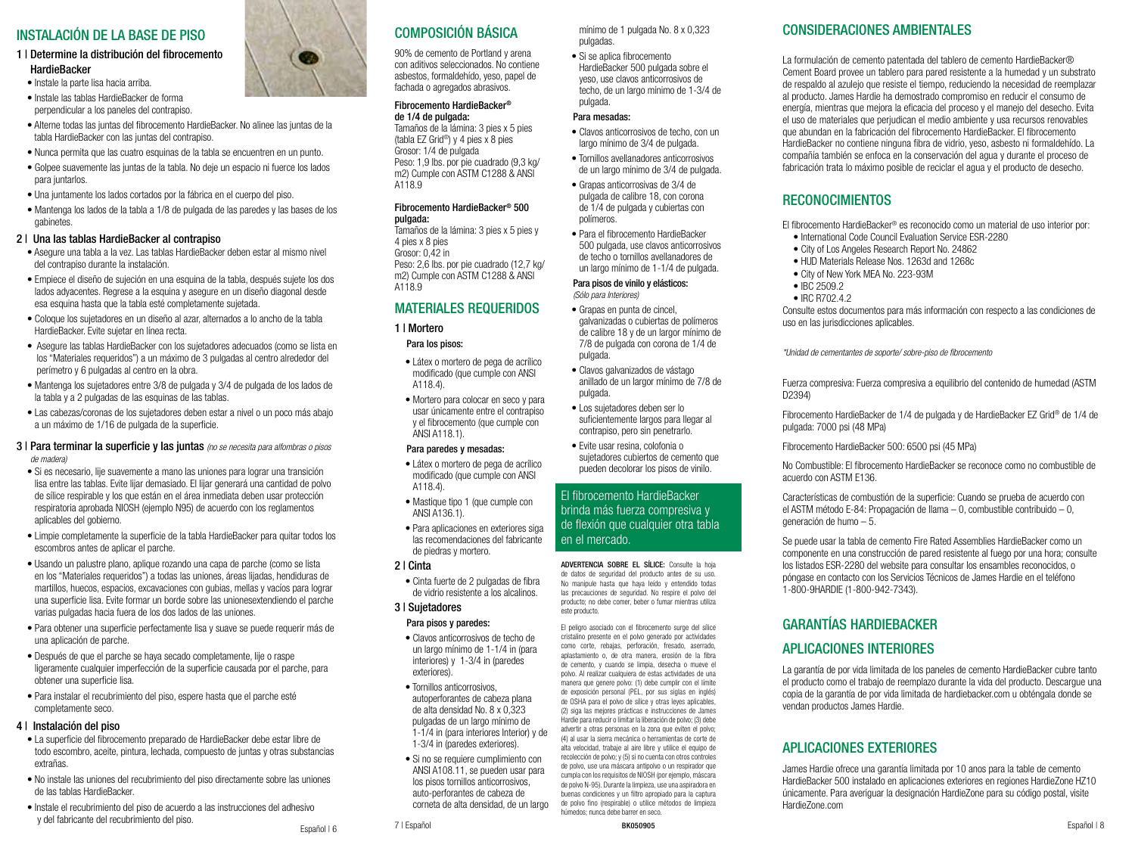# INSTALACIÓN DE LA BASE DE PISO

#### 1 | Determine la distribución del fibrocemento **HardieBacker**

- Instale la parte lisa hacia arriba.
- Instale las tablas HardieBacker de forma perpendicular a los paneles del contrapiso.
- Alterne todas las juntas del fibrocemento HardieBacker. No alinee las juntas de la tabla HardieBacker con las juntas del contrapiso.
- Nunca permita que las cuatro esquinas de la tabla se encuentren en un punto.
- Golpee suavemente las juntas de la tabla. No deje un espacio ni fuerce los lados para juntarlos.
- Una juntamente los lados cortados por la fábrica en el cuerpo del piso.
- Mantenga los lados de la tabla a 1/8 de pulgada de las paredes y las bases de los gabinetes.

#### 2 | Una las tablas HardieBacker al contrapiso

- Asegure una tabla a la vez. Las tablas HardieBacker deben estar al mismo nivel del contrapiso durante la instalación.
- Empiece el diseño de sujeción en una esquina de la tabla, después sujete los dos lados adyacentes. Regrese a la esquina y asegure en un diseño diagonal desde esa esquina hasta que la tabla esté completamente sujetada.
- Coloque los sujetadores en un diseño al azar, alternados a lo ancho de la tabla HardieBacker. Evite sujetar en línea recta.
- Asegure las tablas HardieBacker con los sujetadores adecuados (como se lista en los "Materiales requeridos") a un máximo de 3 pulgadas al centro alrededor del perímetro y 6 pulgadas al centro en la obra.
- Mantenga los sujetadores entre 3/8 de pulgada y 3/4 de pulgada de los lados de la tabla y a 2 pulgadas de las esquinas de las tablas.
- Las cabezas/coronas de los sujetadores deben estar a nivel o un poco más abajo a un máximo de 1/16 de pulgada de la superficie.

#### 3 | Para terminar la superficie y las juntas *(no se necesita para alfombras o pisos de madera)*

- Si es necesario, lije suavemente a mano las uniones para lograr una transición lisa entre las tablas. Evite lijar demasiado. El lijar generará una cantidad de polvo de sílice respirable y los que están en el área inmediata deben usar protección respiratoria aprobada NIOSH (ejemplo N95) de acuerdo con los reglamentos aplicables del gobierno.
- Limpie completamente la superficie de la tabla HardieBacker para quitar todos los escombros antes de aplicar el parche.
- Usando un palustre plano, aplique rozando una capa de parche (como se lista en los "Materiales requeridos") a todas las uniones, áreas lijadas, hendiduras de martillos, huecos, espacios, excavaciones con gubias, mellas y vacíos para lograr una superficie lisa. Evite formar un borde sobre las unionesextendiendo el parche varias pulgadas hacia fuera de los dos lados de las uniones.
- Para obtener una superficie perfectamente lisa y suave se puede requerir más de una aplicación de parche.
- Después de que el parche se haya secado completamente, lije o raspe ligeramente cualquier imperfección de la superficie causada por el parche, para obtener una superficie lisa.
- Para instalar el recubrimiento del piso, espere hasta que el parche esté completamente seco.

## 4 | Instalación del piso

- La superficie del fibrocemento preparado de HardieBacker debe estar libre de todo escombro, aceite, pintura, lechada, compuesto de juntas y otras substancias extrañas.
- No instale las uniones del recubrimiento del piso directamente sobre las uniones de las tablas HardieBacker.
- Instale el recubrimiento del piso de acuerdo a las instrucciones del adhesivo y del fabricante del recubrimiento del piso.<br>
Fspañol | 6



# COMPOSICIÓN BÁSICA

90% de cemento de Portland y arena con aditivos seleccionados. No contiene asbestos, formaldehído, yeso, papel de fachada o agregados abrasivos.

#### Fibrocemento HardieBacker® de 1/4 de pulgada:

Tamaños de la lámina: 3 pies x 5 pies (tabla EZ Grid®) y 4 pies x 8 pies Grosor: 1/4 de pulgada Peso: 1,9 lbs. por pie cuadrado (9,3 kg/ m2) Cumple con ASTM C1288 & ANSI A118.9

#### Fibrocemento HardieBacker® 500 pulgada:

Tamaños de la lámina: 3 pies x 5 pies y 4 pies x 8 pies Grosor: 0,42 in Peso: 2,6 lbs. por pie cuadrado (12,7 kg/ m2) Cumple con ASTM C1288 & ANSI A118.9

## MATERIALES REQUERIDOS

1 | Mortero Para los pisos:

- Látex o mortero de pega de acrílico modificado (que cumple con ANSI A118.4).
- Mortero para colocar en seco y para usar únicamente entre el contrapiso y el fibrocemento (que cumple con ANSI A118.1).

#### Para paredes y mesadas:

- Látex o mortero de pega de acrílico modificado (que cumple con ANSI A118.4).
- Mastique tipo 1 (que cumple con ANSI A136.1).
- Para aplicaciones en exteriores siga las recomendaciones del fabricante de piedras y mortero.

#### 2 | Cinta

• Cinta fuerte de 2 pulgadas de fibra de vidrio resistente a los alcalinos.

## 3 | Sujetadores

- Para pisos y paredes:
- Clavos anticorrosivos de techo de un largo mínimo de 1-1/4 in (para interiores) y 1-3/4 in (paredes exteriores).
- Tornillos anticorrosivos, autoperforantes de cabeza plana de alta densidad No. 8 x 0,323 pulgadas de un largo mínimo de 1-1/4 in (para interiores Interior) y de 1-3/4 in (paredes exteriores).
- Si no se requiere cumplimiento con ANSI A108.11, se pueden usar para los pisos tornillos anticorrosivos, auto-perforantes de cabeza de corneta de alta densidad, de un largo

mínimo de 1 pulgada No. 8 x 0,323 pulgadas.

• Si se aplica fibrocemento HardieBacker 500 pulgada sobre el yeso, use clavos anticorrosivos de techo, de un largo mínimo de 1-3/4 de pulgada.

#### Para mesadas:

- Clavos anticorrosivos de techo, con un largo mínimo de 3/4 de pulgada.
- Tornillos avellanadores anticorrosivos de un largo mínimo de 3/4 de pulgada.
- Grapas anticorrosivas de 3/4 de pulgada de calibre 18, con corona de 1/4 de pulgada y cubiertas con polímeros.
- Para el fibrocemento HardieBacker 500 pulgada, use clavos anticorrosivos de techo o tornillos avellanadores de un largo mínimo de 1-1/4 de pulgada.

#### Para pisos de vinilo y elásticos: *(Sólo para Interiores)*

- Grapas en punta de cincel, galvanizadas o cubiertas de polímeros de calibre 18 y de un largor mínimo de 7/8 de pulgada con corona de 1/4 de pulgada.
- Clavos galvanizados de vástago anillado de un largor mínimo de 7/8 de pulgada.
- Los sujetadores deben ser lo suficientemente largos para llegar al contrapiso, pero sin penetrarlo.
- Evite usar resina, colofonia o sujetadores cubiertos de cemento que pueden decolorar los pisos de vinilo.

#### El fibrocemento HardieBacker brinda más fuerza compresiva y de flexión que cualquier otra tabla en el mercado.

de datos de seguridad del producto antes de su uso. No manipule hasta que haya leído y entendido todas las precauciones de seguridad. No respire el polvo del producto; no debe comer, beber o fumar mientras utiliza este producto.

El peligro asociado con el fibrocemento surge del sílice cristalino presente en el polvo generado por actividades como corte, rebajas, perforación, fresado, aserrado, aplastamiento o, de otra manera, erosión de la fibra de cemento, y cuando se limpia, desecha o mueve el polvo. Al realizar cualquiera de estas actividades de una manera que genere polvo: (1) debe cumplir con el límite de exposición personal (PEL, por sus siglas en inglés) de OSHA para el polvo de sílice y otras leyes aplicables, (2) siga las mejores prácticas e instrucciones de James Hardie para reducir o limitar la liberación de polvo; (3) debe advertir a otras personas en la zona que eviten el polvo; (4) al usar la sierra mecánica o herramientas de corte de alta velocidad, trabaje al aire libre y utilice el equipo de recolección de polvo; y (5) si no cuenta con otros controles de polvo, use una máscara antipolvo o un respirador que cumpla con los requisitos de NIOSH (por ejemplo, máscara de polvo N-95). Durante la limpieza, use una aspiradora en buenas condiciones y un filtro apropiado para la captura de polvo fino (respirable) o utilice métodos de limpieza húmedos; nunca debe barrer en seco.

BK050905

# CONSIDERACIONES AMBIENTALES

La formulación de cemento patentada del tablero de cemento HardieBacker® Cement Board provee un tablero para pared resistente a la humedad y un substrato de respaldo al azulejo que resiste el tiempo, reduciendo la necesidad de reemplazar al producto. James Hardie ha demostrado compromiso en reducir el consumo de energía, mientras que mejora la eficacia del proceso y el manejo del desecho. Evita el uso de materiales que perjudican el medio ambiente y usa recursos renovables que abundan en la fabricación del fibrocemento HardieBacker. El fibrocemento HardieBacker no contiene ninguna fibra de vidrio, yeso, asbesto ni formaldehído. La compañía también se enfoca en la conservación del agua y durante el proceso de fabricación trata lo máximo posible de reciclar el agua y el producto de desecho.

# RECONOCIMIENTOS

El fibrocemento HardieBacker® es reconocido como un material de uso interior por:

- International Code Council Evaluation Service ESR-2280
- City of Los Angeles Research Report No. 24862
- HUD Materials Release Nos. 1263d and 1268c
- City of New York MEA No. 223-93M
- IBC 2509.2
- IRC R702.4.2

Consulte estos documentos para más información con respecto a las condiciones de uso en las jurisdicciones aplicables.

*\*Unidad de cementantes de soporte/ sobre-piso de fibrocemento*

Fuerza compresiva: Fuerza compresiva a equilibrio del contenido de humedad (ASTM D2394)

Fibrocemento HardieBacker de 1/4 de pulgada y de HardieBacker EZ Grid® de 1/4 de pulgada: 7000 psi (48 MPa)

Fibrocemento HardieBacker 500: 6500 psi (45 MPa)

No Combustible: El fibrocemento HardieBacker se reconoce como no combustible de acuerdo con ASTM E136.

Características de combustión de la superficie: Cuando se prueba de acuerdo con el ASTM método E-84: Propagación de llama – 0, combustible contribuido – 0, generación de humo – 5.

Se puede usar la tabla de cemento Fire Rated Assemblies HardieBacker como un componente en una construcción de pared resistente al fuego por una hora; consulte los listados ESR-2280 del website para consultar los ensambles reconocidos, o póngase en contacto con los Servicios Técnicos de James Hardie en el teléfono 1-800-9HARDIE (1-800-942-7343).

# GARANTÍAS HARDIEBACKER

# APLICACIONES INTERIORES

La garantía de por vida limitada de los paneles de cemento HardieBacker cubre tanto el producto como el trabajo de reemplazo durante la vida del producto. Descargue una copia de la garantía de por vida limitada de hardiebacker.com u obténgala donde se vendan productos James Hardie.

# APLICACIONES EXTERIORES

James Hardie ofrece una garantía limitada por 10 anos para la table de cemento HardieBacker 500 instalado en aplicaciones exteriores en regiones HardieZone HZ10 únicamente. Para averiguar la designación HardieZone para su código postal, visite HardieZone.com